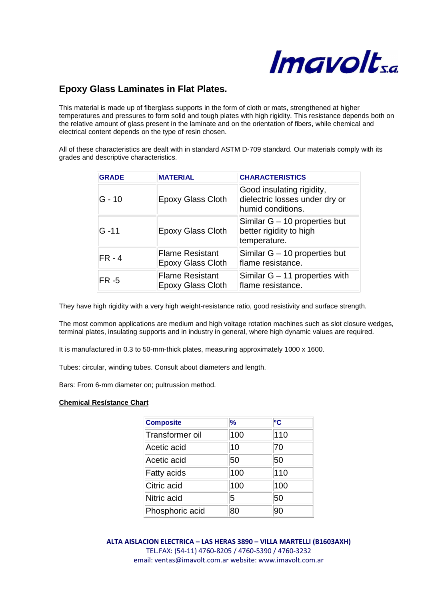

## **Epoxy Glass Laminates in Flat Plates.**

This material is made up of fiberglass supports in the form of cloth or mats, strengthened at higher temperatures and pressures to form solid and tough plates with high rigidity. This resistance depends both on the relative amount of glass present in the laminate and on the orientation of fibers, while chemical and electrical content depends on the type of resin chosen.

All of these characteristics are dealt with in standard ASTM D-709 standard. Our materials comply with its grades and descriptive characteristics.

| <b>GRADE</b> | <b>MATERIAL</b>                                    | <b>CHARACTERISTICS</b>                                                           |
|--------------|----------------------------------------------------|----------------------------------------------------------------------------------|
| lG - 10      | <b>Epoxy Glass Cloth</b>                           | Good insulating rigidity,<br>dielectric losses under dry or<br>humid conditions. |
| G -11        | <b>Epoxy Glass Cloth</b>                           | Similar G – 10 properties but<br>better rigidity to high<br>temperature.         |
| $FR - 4$     | <b>Flame Resistant</b><br><b>Epoxy Glass Cloth</b> | Similar G - 10 properties but<br>flame resistance.                               |
| $FR - 5$     | <b>Flame Resistant</b><br><b>Epoxy Glass Cloth</b> | Similar $G - 11$ properties with<br>flame resistance.                            |

They have high rigidity with a very high weight-resistance ratio, good resistivity and surface strength.

The most common applications are medium and high voltage rotation machines such as slot closure wedges, terminal plates, insulating supports and in industry in general, where high dynamic values are required.

It is manufactured in 0.3 to 50-mm-thick plates, measuring approximately 1000 x 1600.

Tubes: circular, winding tubes. Consult about diameters and length.

Bars: From 6-mm diameter on; pultrussion method.

## **Chemical Resístance Chart**

| <b>Composite</b> | %   | рc  |
|------------------|-----|-----|
| Transformer oil  | 100 | 110 |
| Acetic acid      | 10  | 70  |
| Acetic acid      | 50  | 50  |
| Fatty acids      | 100 | 110 |
| Citric acid      | 100 | 100 |
| Nitric acid      | 5   | 50  |
| Phosphoric acid  | 80  | 90  |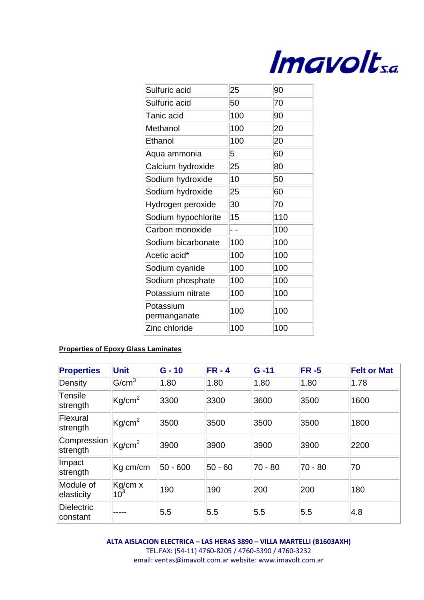

| Sulfuric acid             | 25  | 90  |
|---------------------------|-----|-----|
| Sulfuric acid             | 50  | 70  |
| Tanic acid                | 100 | 90  |
| Methanol                  | 100 | 20  |
| Ethanol                   | 100 | 20  |
| Aqua ammonia              | 5   | 60  |
| Calcium hydroxide         | 25  | 80  |
| Sodium hydroxide          | 10  | 50  |
| Sodium hydroxide          | 25  | 60  |
| Hydrogen peroxide         | 30  | 70  |
| Sodium hypochlorite       | 15  | 110 |
| Carbon monoxide           |     | 100 |
| Sodium bicarbonate        | 100 | 100 |
| Acetic acid*              | 100 | 100 |
| Sodium cyanide            | 100 | 100 |
| Sodium phosphate          | 100 | 100 |
| Potassium nitrate         | 100 | 100 |
| Potassium<br>permanganate | 100 | 100 |
| Zinc chloride             | 100 | 100 |

## **Properties of Epoxy Glass Laminates**

| <b>Properties</b>       | <b>Unit</b>                | $G - 10$ | $FR - 4$ | $G - 11$ | <b>FR -5</b> | <b>Felt or Mat</b> |
|-------------------------|----------------------------|----------|----------|----------|--------------|--------------------|
| Density                 | G/cm <sup>3</sup>          | 1.80     | 1.80     | 1.80     | 1.80         | 1.78               |
| Tensile<br>strength     | Kg/cm <sup>2</sup>         | 3300     | 3300     | 3600     | 3500         | 1600               |
| Flexural<br>strength    | $\text{Kg/cm}^2$           | 3500     | 3500     | 3500     | 3500         | 1800               |
| Compression<br>strength | Kg/cm <sup>2</sup>         | 3900     | 3900     | 3900     | 3900         | 2200               |
| Impact<br>strength      | $Kg$ cm/cm                 | 50 - 600 | 50 - 60  | 70 - 80  | 70 - 80      | 70                 |
| Module of<br>elasticity | Kg/cm x<br>10 <sup>3</sup> | 190      | 190      | 200      | 200          | 180                |
| Dielectric<br>constant  |                            | 5.5      | 5.5      | 5.5      | 5.5          | 4.8                |

**ALTA AISLACION ELECTRICA – LAS HERAS 3890 – VILLA MARTELLI (B1603AXH)** TEL.FAX: (54-11) 4760-8205 / 4760-5390 / 4760-3232 email: ventas@imavolt.com.ar website: www.imavolt.com.ar